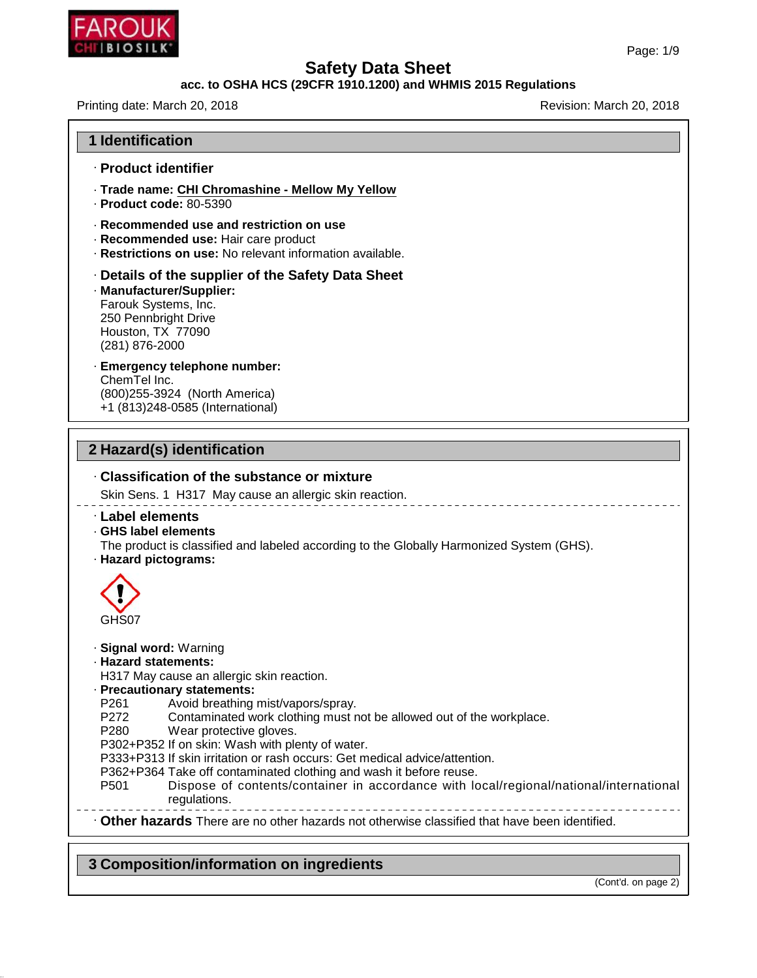

## **acc. to OSHA HCS (29CFR 1910.1200) and WHMIS 2015 Regulations**

Printing date: March 20, 2018 **Printing date: March 20, 2018** 

| <b>1 Identification</b>                                                                                                                                                                                                                                                                                                                                                                                                                                                                                                                                                                                                                       |
|-----------------------------------------------------------------------------------------------------------------------------------------------------------------------------------------------------------------------------------------------------------------------------------------------------------------------------------------------------------------------------------------------------------------------------------------------------------------------------------------------------------------------------------------------------------------------------------------------------------------------------------------------|
| · Product identifier                                                                                                                                                                                                                                                                                                                                                                                                                                                                                                                                                                                                                          |
| · Trade name: CHI Chromashine - Mellow My Yellow<br>$\cdot$ Product code: 80-5390                                                                                                                                                                                                                                                                                                                                                                                                                                                                                                                                                             |
| ⋅ Recommended use and restriction on use<br>· Recommended use: Hair care product<br>· Restrictions on use: No relevant information available.                                                                                                                                                                                                                                                                                                                                                                                                                                                                                                 |
| Details of the supplier of the Safety Data Sheet<br>· Manufacturer/Supplier:<br>Farouk Systems, Inc.<br>250 Pennbright Drive<br>Houston, TX 77090<br>(281) 876-2000                                                                                                                                                                                                                                                                                                                                                                                                                                                                           |
| · Emergency telephone number:<br>ChemTel Inc.<br>(800) 255-3924 (North America)<br>+1 (813)248-0585 (International)                                                                                                                                                                                                                                                                                                                                                                                                                                                                                                                           |
| 2 Hazard(s) identification                                                                                                                                                                                                                                                                                                                                                                                                                                                                                                                                                                                                                    |
| Classification of the substance or mixture                                                                                                                                                                                                                                                                                                                                                                                                                                                                                                                                                                                                    |
| Skin Sens. 1 H317 May cause an allergic skin reaction.                                                                                                                                                                                                                                                                                                                                                                                                                                                                                                                                                                                        |
| · Label elements<br>. GHS label elements<br>The product is classified and labeled according to the Globally Harmonized System (GHS).<br>· Hazard pictograms:                                                                                                                                                                                                                                                                                                                                                                                                                                                                                  |
| GHS07                                                                                                                                                                                                                                                                                                                                                                                                                                                                                                                                                                                                                                         |
| · Signal word: Warning<br>· Hazard statements:<br>H317 May cause an allergic skin reaction.<br>· Precautionary statements:<br>P <sub>261</sub><br>Avoid breathing mist/vapors/spray.<br>P272<br>Contaminated work clothing must not be allowed out of the workplace.<br>P <sub>280</sub><br>Wear protective gloves.<br>P302+P352 If on skin: Wash with plenty of water.<br>P333+P313 If skin irritation or rash occurs: Get medical advice/attention.<br>P362+P364 Take off contaminated clothing and wash it before reuse.<br>Dispose of contents/container in accordance with local/regional/national/international<br>P501<br>regulations. |
| . Other hazards There are no other hazards not otherwise classified that have been identified.                                                                                                                                                                                                                                                                                                                                                                                                                                                                                                                                                |

# **3 Composition/information on ingredients**

46.1.6.1

(Cont'd. on page 2)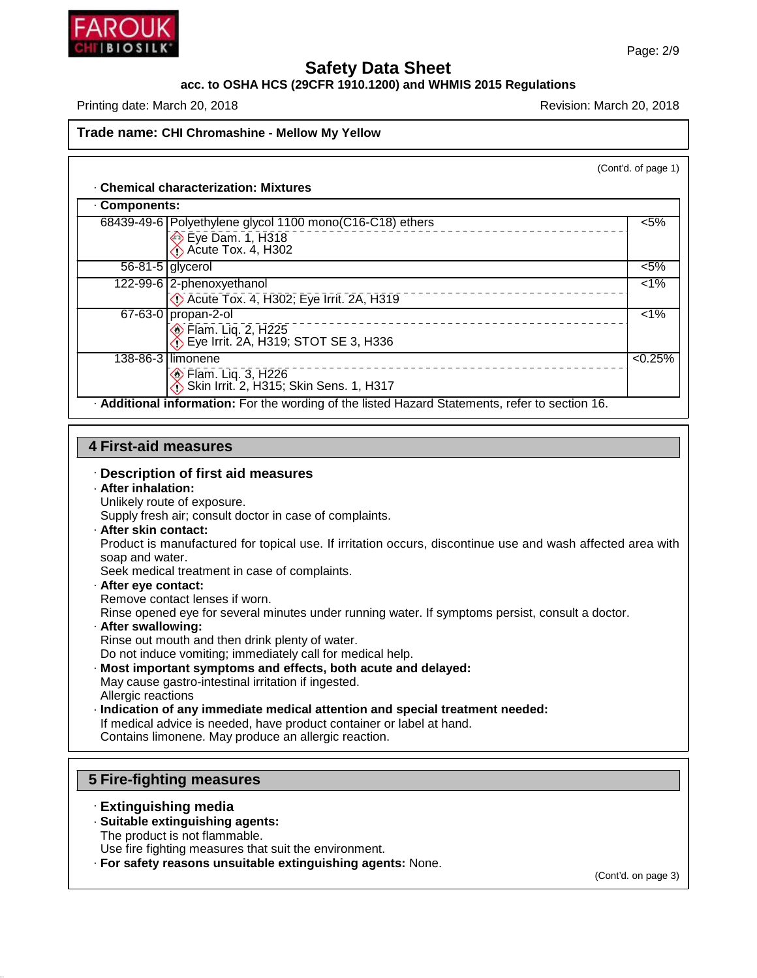

#### **acc. to OSHA HCS (29CFR 1910.1200) and WHMIS 2015 Regulations**

Printing date: March 20, 2018 **Printing date: March 20, 2018** 

## **Trade name: CHI Chromashine - Mellow MyYellow**

(Cont'd. of page 1)

#### · **Chemical characterization: Mixtures**

| Components: |                                                                                                 |         |
|-------------|-------------------------------------------------------------------------------------------------|---------|
|             | 68439-49-6 Polyethylene glycol 1100 mono(C16-C18) ethers                                        | $< 5\%$ |
|             | Eye Dam. 1, $H318$<br>$\bigcirc$ Acute Tox. 4, H302                                             |         |
|             | $56-81-5$ glycerol                                                                              | $< 5\%$ |
|             | 122-99-6 2-phenoxyethanol<br>De Acute Tox. 4, H302; Eye Irrit. 2A, H319                         | $< 1\%$ |
|             | $67-63-0$ propan-2-ol<br>ion Flam. Liq. 2, H225<br>∴ Eye Irrit. 2A, H319; STOT SE 3, H336       | 1%      |
|             | 138-86-3 limonene<br>ion Flam. Liq. 3, H226<br>1, Skin Irrit. 2, H315; Skin Sens. 1, H317       | < 0.25% |
|             | . Additional information: For the wording of the listed Hazard Statements, refer to section 16. |         |

#### **4 First-aid measures**

#### · **Description of first aid measures**

## · **After inhalation:**

Unlikely route of exposure.

Supply fresh air; consult doctor in case of complaints.

· **After skin contact:**

Product is manufactured for topical use. If irritation occurs, discontinue use and wash affected area with soap and water.

Seek medical treatment in case of complaints.

· **After eye contact:**

Remove contact lenses if worn.

Rinse opened eye for several minutes under running water. If symptoms persist, consult a doctor.

· **After swallowing:**

Rinse out mouth and then drink plenty of water.

- Do not induce vomiting; immediately call for medical help.
- · **Most important symptoms and effects, both acute and delayed:**
- May cause gastro-intestinal irritation if ingested. Allergic reactions
- · **Indication of any immediate medical attention and special treatment needed:**
- If medical advice is needed, have product container or label at hand.

Contains limonene. May produce an allergic reaction.

#### **5 Fire-fighting measures**

#### · **Extinguishing media**

46.1.6.1

- · **Suitable extinguishing agents:**
- The product is not flammable.

Use fire fighting measures that suit the environment.

· **For safety reasons unsuitable extinguishing agents:** None.

(Cont'd. on page 3)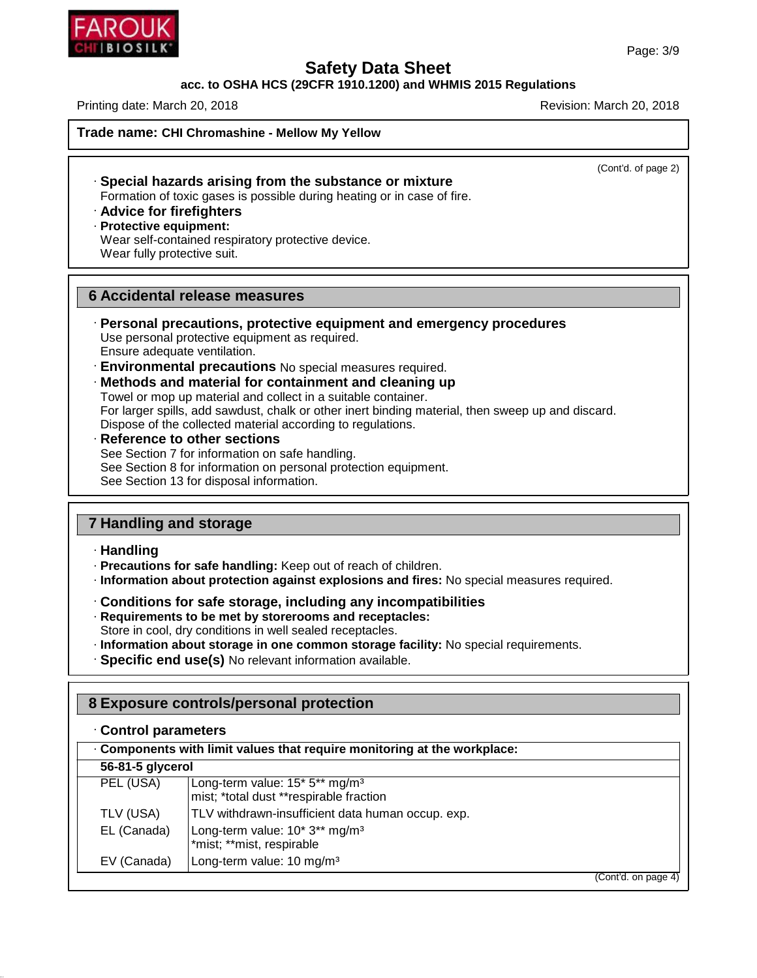## **acc. to OSHA HCS (29CFR 1910.1200) and WHMIS 2015 Regulations**

Printing date: March 20, 2018 **Printing date: March 20, 2018** Revision: March 20, 2018

**Trade name: CHI Chromashine - Mellow MyYellow**

(Cont'd. of page 2)

- · **Special hazards arising from the substance or mixture** Formation of toxic gases is possible during heating or in case of fire.
- · **Advice for firefighters**
- · **Protective equipment:**
- Wear self-contained respiratory protective device. Wear fully protective suit.

## **6 Accidental release measures**

- · **Personal precautions, protective equipment and emergency procedures** Use personal protective equipment as required. Ensure adequate ventilation.
- · **Environmental precautions** No special measures required.
- · **Methods and material for containment and cleaning up**

Towel or mop up material and collect in a suitable container. For larger spills, add sawdust, chalk or other inert binding material, then sweep up and discard. Dispose of the collected material according to regulations.

· **Reference to other sections** See Section 7 for information on safe handling. See Section 8 for information on personal protection equipment. See Section 13 for disposal information.

# **7 Handling and storage**

#### · **Handling**

46.1.6.1

- · **Precautions for safe handling:** Keep out of reach of children.
- · **Information about protection against explosions and fires:** No special measures required.
- · **Conditions for safe storage, including any incompatibilities**
- · **Requirements to be met by storerooms and receptacles:**
- Store in cool, dry conditions in well sealed receptacles.
- · **Information about storage in one common storage facility:** No special requirements.
- · **Specific end use(s)** No relevant information available.

# **8 Exposure controls/personal protection**

| Components with limit values that require monitoring at the workplace: |                                                                                                               |  |  |  |
|------------------------------------------------------------------------|---------------------------------------------------------------------------------------------------------------|--|--|--|
| 56-81-5 glycerol                                                       |                                                                                                               |  |  |  |
| PEL (USA)                                                              | Long-term value: 15 <sup>*</sup> 5 <sup>**</sup> mg/m <sup>3</sup><br>mist; *total dust **respirable fraction |  |  |  |
| TLV (USA)                                                              | TLV withdrawn-insufficient data human occup. exp.                                                             |  |  |  |
| EL (Canada)                                                            | Long-term value: 10* 3** mg/m <sup>3</sup><br>*mist; **mist, respirable                                       |  |  |  |
| EV (Canada)                                                            | Long-term value: 10 mg/m <sup>3</sup>                                                                         |  |  |  |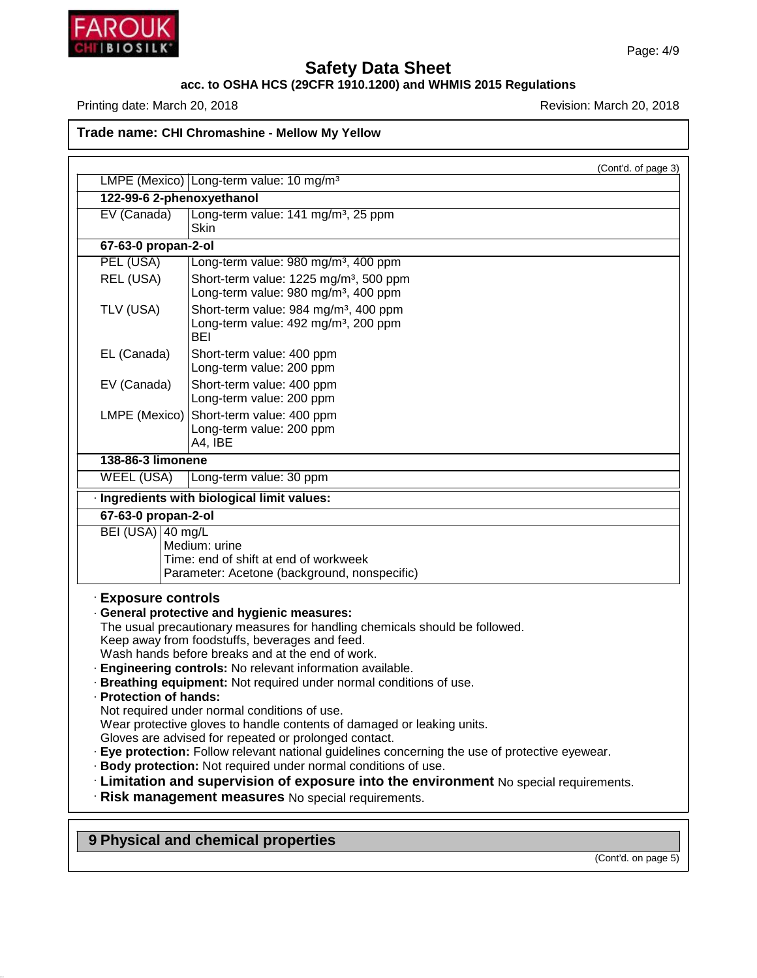

46.1.6.1

# **Safety Data Sheet**

**acc. to OSHA HCS (29CFR 1910.1200) and WHMIS 2015 Regulations**

Printing date: March 20, 2018 **Printing date: March 20, 2018** 

**Trade name: CHI Chromashine - Mellow MyYellow**

|                           | (Cont'd. of page 3)<br>LMPE (Mexico) Long-term value: 10 mg/m <sup>3</sup>                                                                               |
|---------------------------|----------------------------------------------------------------------------------------------------------------------------------------------------------|
| 122-99-6 2-phenoxyethanol |                                                                                                                                                          |
| EV (Canada)               | Long-term value: 141 mg/m <sup>3</sup> , 25 ppm                                                                                                          |
|                           | <b>Skin</b>                                                                                                                                              |
| 67-63-0 propan-2-ol       |                                                                                                                                                          |
| PEL (USA)                 | Long-term value: 980 mg/m <sup>3</sup> , 400 ppm                                                                                                         |
| REL (USA)                 | Short-term value: 1225 mg/m <sup>3</sup> , 500 ppm                                                                                                       |
|                           | Long-term value: 980 mg/m <sup>3</sup> , 400 ppm                                                                                                         |
| TLV (USA)                 | Short-term value: 984 mg/m <sup>3</sup> , 400 ppm                                                                                                        |
|                           | Long-term value: 492 mg/m <sup>3</sup> , 200 ppm<br>BEI                                                                                                  |
| EL (Canada)               | Short-term value: 400 ppm                                                                                                                                |
|                           | Long-term value: 200 ppm                                                                                                                                 |
| EV (Canada)               | Short-term value: 400 ppm                                                                                                                                |
|                           | Long-term value: 200 ppm                                                                                                                                 |
| LMPE (Mexico)             | Short-term value: 400 ppm                                                                                                                                |
|                           | Long-term value: 200 ppm<br>A4, IBE                                                                                                                      |
| 138-86-3 limonene         |                                                                                                                                                          |
| <b>WEEL (USA)</b>         | Long-term value: 30 ppm                                                                                                                                  |
|                           | · Ingredients with biological limit values:                                                                                                              |
| 67-63-0 propan-2-ol       |                                                                                                                                                          |
| BEI (USA) 40 mg/L         |                                                                                                                                                          |
|                           | Medium: urine                                                                                                                                            |
|                           | Time: end of shift at end of workweek                                                                                                                    |
|                           | Parameter: Acetone (background, nonspecific)                                                                                                             |
| · Exposure controls       |                                                                                                                                                          |
|                           | · General protective and hygienic measures:                                                                                                              |
|                           | The usual precautionary measures for handling chemicals should be followed.<br>Keep away from foodstuffs, beverages and feed.                            |
|                           | Wash hands before breaks and at the end of work.                                                                                                         |
|                           | · Engineering controls: No relevant information available.                                                                                               |
|                           | · Breathing equipment: Not required under normal conditions of use.                                                                                      |
| · Protection of hands:    |                                                                                                                                                          |
|                           | Not required under normal conditions of use.                                                                                                             |
|                           | Wear protective gloves to handle contents of damaged or leaking units.                                                                                   |
|                           | Gloves are advised for repeated or prolonged contact.<br>· Eye protection: Follow relevant national guidelines concerning the use of protective eyewear. |
|                           | · Body protection: Not required under normal conditions of use.                                                                                          |
|                           | . Limitation and supervision of exposure into the environment No special requirements.                                                                   |
|                           | · Risk management measures No special requirements.                                                                                                      |
|                           |                                                                                                                                                          |
|                           |                                                                                                                                                          |
|                           | 9 Physical and chemical properties                                                                                                                       |

(Cont'd. on page 5)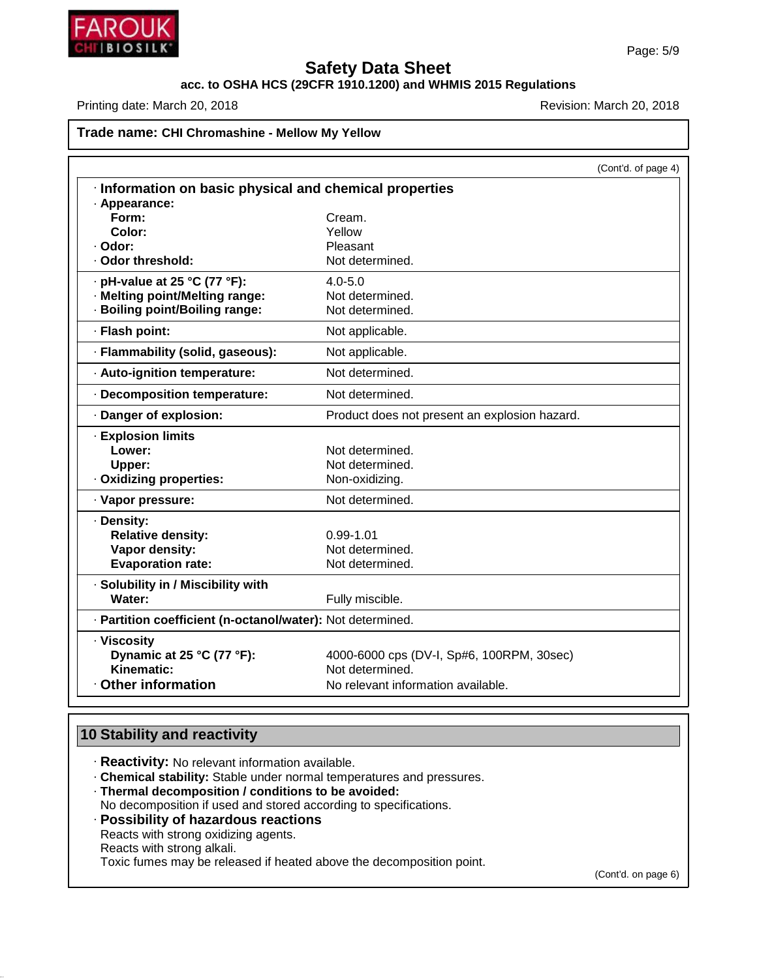

# **acc. to OSHA HCS (29CFR 1910.1200) and WHMIS 2015 Regulations**

Printing date: March 20, 2018 **Printing date: March 20, 2018** Revision: March 20, 2018

## **Trade name: CHI Chromashine - Mellow MyYellow**

|                                                            |                                               | (Cont'd. of page 4) |
|------------------------------------------------------------|-----------------------------------------------|---------------------|
| · Information on basic physical and chemical properties    |                                               |                     |
| · Appearance:                                              |                                               |                     |
| Form:                                                      | Cream.                                        |                     |
| Color:                                                     | Yellow                                        |                     |
| · Odor:<br>· Odor threshold:                               | Pleasant                                      |                     |
|                                                            | Not determined.                               |                     |
| $\cdot$ pH-value at 25 °C (77 °F):                         | $4.0 - 5.0$                                   |                     |
| · Melting point/Melting range:                             | Not determined.                               |                     |
| · Boiling point/Boiling range:                             | Not determined.                               |                     |
| · Flash point:                                             | Not applicable.                               |                     |
| · Flammability (solid, gaseous):                           | Not applicable.                               |                     |
| · Auto-ignition temperature:                               | Not determined.                               |                     |
| Decomposition temperature:                                 | Not determined.                               |                     |
| · Danger of explosion:                                     | Product does not present an explosion hazard. |                     |
| · Explosion limits                                         |                                               |                     |
| Lower:                                                     | Not determined.                               |                     |
| Upper:                                                     | Not determined.                               |                     |
| · Oxidizing properties:                                    | Non-oxidizing.                                |                     |
| · Vapor pressure:                                          | Not determined.                               |                     |
| · Density:                                                 |                                               |                     |
| <b>Relative density:</b>                                   | $0.99 - 1.01$                                 |                     |
| Vapor density:                                             | Not determined.                               |                     |
| <b>Evaporation rate:</b>                                   | Not determined.                               |                     |
| · Solubility in / Miscibility with                         |                                               |                     |
| Water:                                                     | Fully miscible.                               |                     |
| · Partition coefficient (n-octanol/water): Not determined. |                                               |                     |
| · Viscosity                                                |                                               |                     |
| Dynamic at 25 °C (77 °F):                                  | 4000-6000 cps (DV-I, Sp#6, 100RPM, 30sec)     |                     |
| Kinematic:                                                 | Not determined.                               |                     |
| · Other information                                        | No relevant information available.            |                     |

# **10 Stability and reactivity**

46.1.6.1

- · **Reactivity:** No relevant information available.
- · **Chemical stability:** Stable under normal temperatures and pressures.
- · **Thermal decomposition / conditions to be avoided:** No decomposition if used and stored according to specifications.
- · **Possibility of hazardous reactions** Reacts with strong oxidizing agents. Reacts with strong alkali. Toxic fumes may be released if heated above the decomposition point.

(Cont'd. on page 6)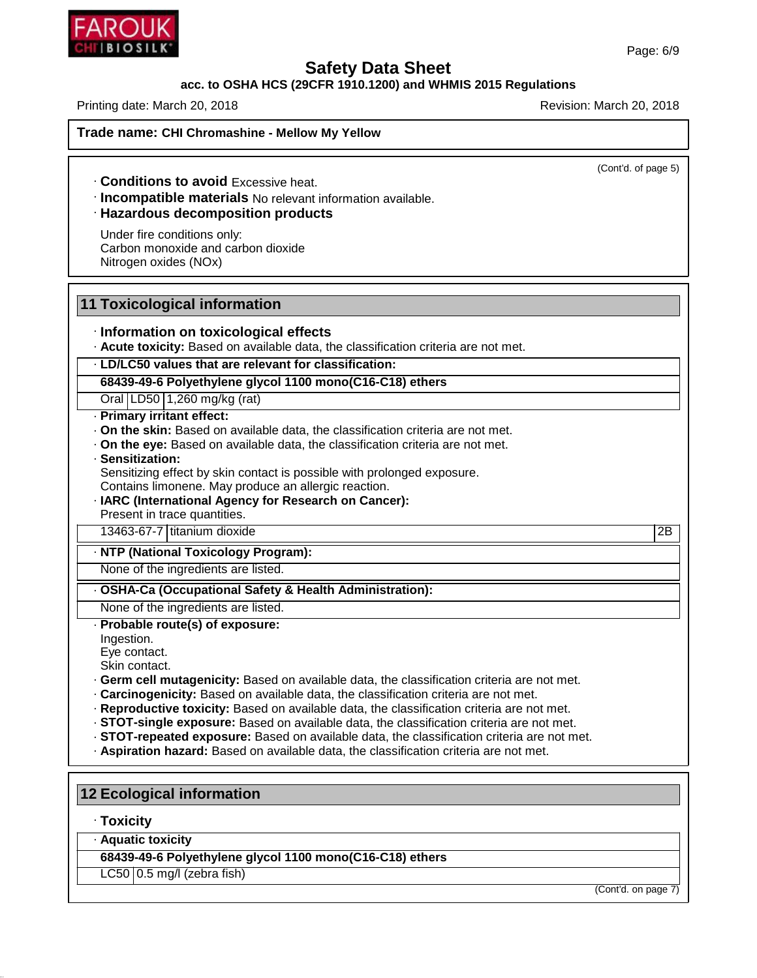

### **acc. to OSHA HCS (29CFR 1910.1200) and WHMIS 2015 Regulations**

Printing date: March 20, 2018 **Printing date: March 20, 2018** Revision: March 20, 2018

(Cont'd. of page 5)

· **Conditions to avoid** Excessive heat.

· **Incompatible materials** No relevant information available.

## · **Hazardous decomposition products**

Under fire conditions only: Carbon monoxide and carbon dioxide Nitrogen oxides (NOx)

#### **11 Toxicological information**

#### · **Information on toxicological effects**

· **Acute toxicity:** Based on available data, the classification criteria are not met.

#### · **LD/LC50 values that are relevant for classification:**

**68439-49-6 Polyethylene glycol 1100 mono(C16-C18) ethers**

Oral LD50 1,260 mg/kg (rat)

#### · **Primary irritant effect:**

- · **On the skin:** Based on available data, the classification criteria are not met.
- · **On the eye:** Based on available data, the classification criteria are not met.

#### · **Sensitization:**

Sensitizing effect by skin contact is possible with prolonged exposure.

- Contains limonene. May produce an allergic reaction.
- · **IARC (International Agency for Research on Cancer):**

Present in trace quantities.

13463-67-7 titanium dioxide 2B

#### · **NTP (National Toxicology Program):**

None of the ingredients are listed.

## · **OSHA-Ca (Occupational Safety & Health Administration):**

None of the ingredients are listed. · **Probable route(s) of exposure:**

Ingestion.

Eye contact.

Skin contact.

- · **Germ cell mutagenicity:** Based on available data, the classification criteria are not met.
- · **Carcinogenicity:** Based on available data, the classification criteria are not met.
- · **Reproductive toxicity:** Based on available data, the classification criteria are not met.
- · **STOT-single exposure:** Based on available data, the classification criteria are not met.
- · **STOT-repeated exposure:** Based on available data, the classification criteria are not met.
- · **Aspiration hazard:** Based on available data, the classification criteria are not met.

### **12 Ecological information**

#### · **Toxicity**

46.1.6.1

· **Aquatic toxicity**

**68439-49-6 Polyethylene glycol 1100 mono(C16-C18) ethers**

 $LC50$  | 0.5 mg/l (zebra fish)

(Cont'd. on page 7)

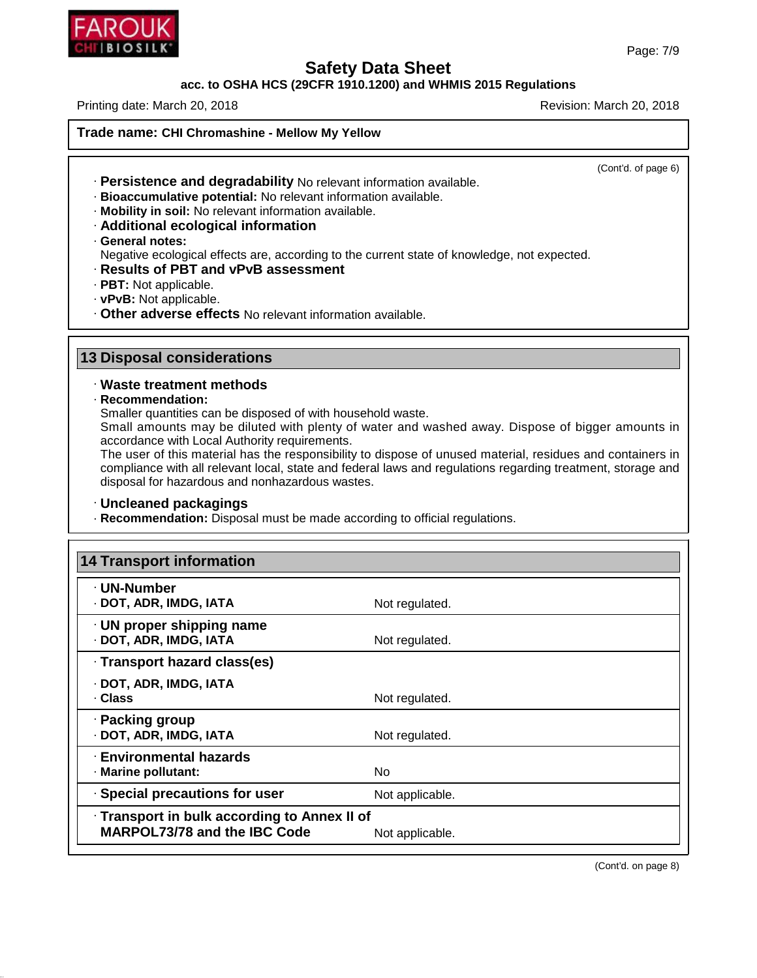

## **acc. to OSHA HCS (29CFR 1910.1200) and WHMIS 2015 Regulations**

Printing date: March 20, 2018 **Printing date: March 20, 2018** Revision: March 20, 2018

**Trade name: CHI Chromashine - Mellow MyYellow**

(Cont'd. of page 6)

- · **Persistence and degradability** No relevant information available.
- · **Bioaccumulative potential:** No relevant information available.
- · **Mobility in soil:** No relevant information available.
- · **Additional ecological information**
- · **General notes:**

Negative ecological effects are, according to the current state of knowledge, not expected.

- · **Results of PBT and vPvB assessment**
- · **PBT:** Not applicable.
- · **vPvB:** Not applicable.
- · **Other adverse effects** No relevant information available.

# **13 Disposal considerations**

## · **Waste treatment methods**

· **Recommendation:**

46.1.6.1

Smaller quantities can be disposed of with household waste.

Small amounts may be diluted with plenty of water and washed away. Dispose of bigger amounts in accordance with Local Authority requirements.

The user of this material has the responsibility to dispose of unused material, residues and containers in compliance with all relevant local, state and federal laws and regulations regarding treatment, storage and disposal for hazardous and nonhazardous wastes.

#### · **Uncleaned packagings**

· **Recommendation:** Disposal must be made according to official regulations.

| <b>14 Transport information</b>                                                     |                 |
|-------------------------------------------------------------------------------------|-----------------|
| · UN-Number<br>· DOT, ADR, IMDG, IATA                                               | Not regulated.  |
| $\cdot$ UN proper shipping name<br>· DOT, ADR, IMDG, IATA                           | Not regulated.  |
| · Transport hazard class(es)                                                        |                 |
| · DOT, ADR, IMDG, IATA<br>· Class                                                   | Not regulated.  |
| · Packing group<br>· DOT, ADR, IMDG, IATA                                           | Not regulated.  |
| · Environmental hazards<br>· Marine pollutant:                                      | No.             |
| · Special precautions for user                                                      | Not applicable. |
| · Transport in bulk according to Annex II of<br><b>MARPOL73/78 and the IBC Code</b> | Not applicable. |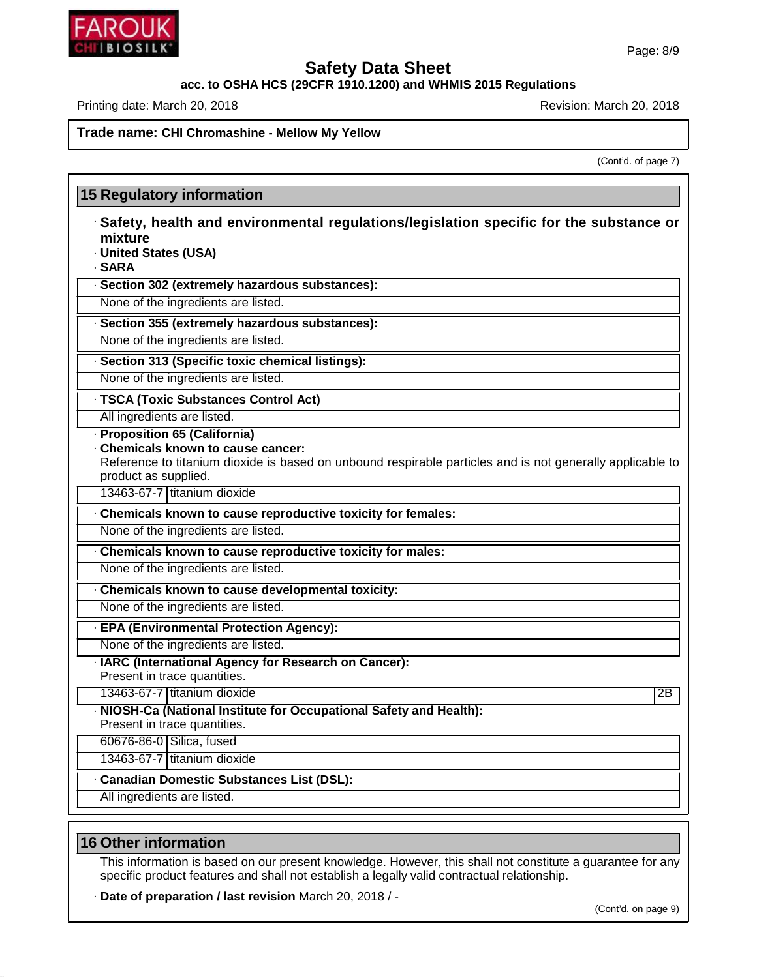

**acc. to OSHA HCS (29CFR 1910.1200) and WHMIS 2015 Regulations**

Printing date: March 20, 2018 **Printing date: March 20, 2018** Revision: March 20, 2018

#### **Trade name: CHI Chromashine - Mellow MyYellow**

(Cont'd. of page 7)

| <b>15 Regulatory information</b>                                                                                                                                                                       |                 |
|--------------------------------------------------------------------------------------------------------------------------------------------------------------------------------------------------------|-----------------|
| · Safety, health and environmental regulations/legislation specific for the substance or<br>mixture<br>· United States (USA)<br>· SARA                                                                 |                 |
| · Section 302 (extremely hazardous substances):                                                                                                                                                        |                 |
| None of the ingredients are listed.                                                                                                                                                                    |                 |
| · Section 355 (extremely hazardous substances):                                                                                                                                                        |                 |
| None of the ingredients are listed.                                                                                                                                                                    |                 |
| · Section 313 (Specific toxic chemical listings):                                                                                                                                                      |                 |
| None of the ingredients are listed.                                                                                                                                                                    |                 |
| · TSCA (Toxic Substances Control Act)                                                                                                                                                                  |                 |
| All ingredients are listed.                                                                                                                                                                            |                 |
| · Proposition 65 (California)<br>Chemicals known to cause cancer:<br>Reference to titanium dioxide is based on unbound respirable particles and is not generally applicable to<br>product as supplied. |                 |
| 13463-67-7 titanium dioxide                                                                                                                                                                            |                 |
| . Chemicals known to cause reproductive toxicity for females:                                                                                                                                          |                 |
| None of the ingredients are listed.                                                                                                                                                                    |                 |
| . Chemicals known to cause reproductive toxicity for males:                                                                                                                                            |                 |
| None of the ingredients are listed.                                                                                                                                                                    |                 |
| Chemicals known to cause developmental toxicity:                                                                                                                                                       |                 |
| None of the ingredients are listed.                                                                                                                                                                    |                 |
| · EPA (Environmental Protection Agency):                                                                                                                                                               |                 |
| None of the ingredients are listed.                                                                                                                                                                    |                 |
| · IARC (International Agency for Research on Cancer):<br>Present in trace quantities.                                                                                                                  |                 |
| 13463-67-7 titanium dioxide                                                                                                                                                                            | $\overline{2B}$ |
| · NIOSH-Ca (National Institute for Occupational Safety and Health):<br>Present in trace quantities.                                                                                                    |                 |
| 60676-86-0 Silica, fused                                                                                                                                                                               |                 |
| 13463-67-7 titanium dioxide                                                                                                                                                                            |                 |
| · Canadian Domestic Substances List (DSL):                                                                                                                                                             |                 |
| All ingredients are listed.                                                                                                                                                                            |                 |

## **16 Other information**

46.1.6.1

This information is based on our present knowledge. However, this shall not constitute a guarantee for any specific product features and shall not establish a legally valid contractual relationship.

· **Date of preparation / last revision** March 20, 2018 / -

(Cont'd. on page 9)